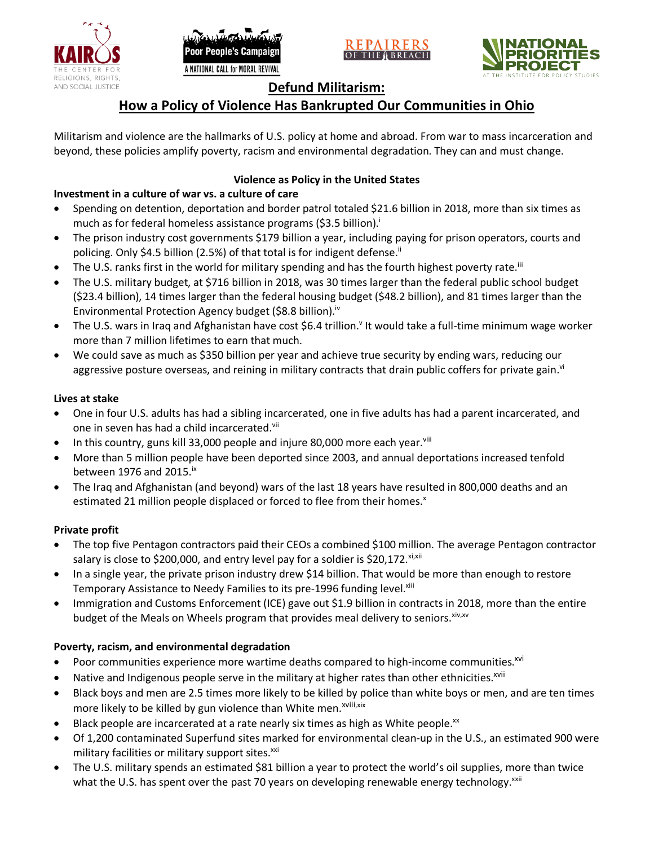





## **Defund Militarism:**

# **How a Policy of Violence Has Bankrupted Our Communities in Ohio**

Militarism and violence are the hallmarks of U.S. policy at home and abroad. From war to mass incarceration and beyond, these policies amplify poverty, racism and environmental degradation. They can and must change.

## **Violence as Policy in the United States**

## **Investment in a culture of war vs. a culture of care**

- Spending on detention, deportation and border patrol totaled \$21.6 billion in 2018, more than six times as much as for federal homeless assistance programs (\$3.5 billion).<sup>i</sup>
- The prison industry cost governments \$179 billion a year, including paying for prison operators, courts and policing. Only \$4.5 billion (2.5%) of that total is for indigent defense.<sup>ii</sup>
- The U.S. ranks first in the world for military spending and has the fourth highest poverty rate.<sup>iii</sup>
- The U.S. military budget, at \$716 billion in 2018, was 30 times larger than the federal public school budget (\$23.4 billion), 14 times larger than the federal housing budget (\$48.2 billion), and 81 times larger than the Environmental Protection Agency budget (\$8.8 billion).<sup>iv</sup>
- The U.S. wars in Iraq and Afghanistan have cost \$6.4 trillion.<sup>v</sup> It would take a full-time minimum wage worker more than 7 million lifetimes to earn that much.
- We could save as much as \$350 billion per year and achieve true security by ending wars, reducing our aggressive posture overseas, and reining in military contracts that drain public coffers for private gain.<sup>vi</sup>

#### **Lives at stake**

- One in four U.S. adults has had a sibling incarcerated, one in five adults has had a parent incarcerated, and one in seven has had a child incarcerated.vii
- In this country, guns kill 33,000 people and injure 80,000 more each year. $v_{\text{lin}}$
- More than 5 million people have been deported since 2003, and annual deportations increased tenfold between 1976 and 2015. $\mathrm{i}$ <sup>x</sup>
- The Iraq and Afghanistan (and beyond) wars of the last 18 years have resulted in 800,000 deaths and an estimated 21 million people displaced or forced to flee from their homes.<sup>x</sup>

#### **Private profit**

- The top five Pentagon contractors paid their CEOs a combined \$100 million. The average Pentagon contractor salary is close to \$200,000, and entry level pay for a soldier is \$20,172. xi,xii
- In a single year, the private prison industry drew \$14 billion. That would be more than enough to restore Temporary Assistance to Needy Families to its pre-1996 funding level.<sup>xiii</sup>
- Immigration and Customs Enforcement (ICE) gave out \$1.9 billion in contracts in 2018, more than the entire budget of the Meals on Wheels program that provides meal delivery to seniors. Xiv, XV

#### **Poverty, racism, and environmental degradation**

- Poor communities experience more wartime deaths compared to high-income communities.<sup>xvi</sup>
- Native and Indigenous people serve in the military at higher rates than other ethnicities.<sup>xvii</sup>
- Black boys and men are 2.5 times more likely to be killed by police than white boys or men, and are ten times more likely to be killed by gun violence than White men.<sup>xviii,xix</sup>
- Black people are incarcerated at a rate nearly six times as high as White people.<sup>xx</sup>
- Of 1,200 contaminated Superfund sites marked for environmental clean-up in the U.S., an estimated 900 were military facilities or military support sites.<sup>xxi</sup>
- The U.S. military spends an estimated \$81 billion a year to protect the world's oil supplies, more than twice what the U.S. has spent over the past 70 years on developing renewable energy technology.<sup>xxii</sup>